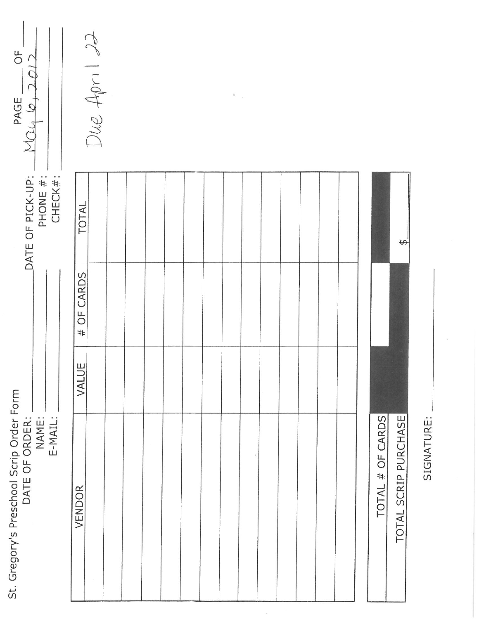| $\frac{1}{\sqrt{2}}$<br>PAGE __ OF<br>NO4 6, 2012                              | Due April 22 |  |  | $\boldsymbol{z}$ |  |  |  |
|--------------------------------------------------------------------------------|--------------|--|--|------------------|--|--|--|
| _DATE OF PICK-UP: _<br>_ PHONE # : _<br>_ CHECK# : _                           | TOTAL        |  |  |                  |  |  |  |
|                                                                                | # OF CARDS   |  |  |                  |  |  |  |
|                                                                                | VALUE        |  |  |                  |  |  |  |
| St. Gregory's Preschool Scrip Order Form<br>DATE OF ORDER:<br>E-MAIL:<br>NAME: | VENDOR       |  |  |                  |  |  |  |

| TOTAL # OF CARDS | AL SCRIP PURCHASE<br>TOTAL. |
|------------------|-----------------------------|

SIGNATURE: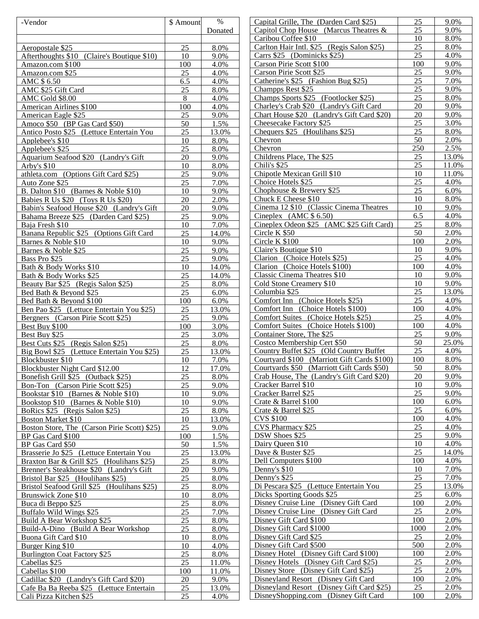| -Vendor                                      | \$ Amount | $\%$                | Capital Grille, The (Darden Card \$25)      | 25   | 9.0%  |
|----------------------------------------------|-----------|---------------------|---------------------------------------------|------|-------|
|                                              |           | Donated             | Capitol Chop House (Marcus Theatres $\&$    | 25   | 9.0%  |
|                                              |           |                     | Caribou Coffee \$10                         | 10   | 8.0%  |
| Aeropostale \$25                             | 25        | 8.0%                | Carlton Hair Intl. \$25 (Regis Salon \$25)  | 25   | 8.0%  |
| Afterthoughts \$10 (Claire's Boutique \$10)  | 10        | 9.0%                | Carrs \$25 (Dominicks \$25)                 | 25   | 4.0%  |
| Amazon.com \$100                             | 100       | 4.0%                | Carson Pirie Scott \$100                    | 100  | 9.0%  |
| Amazon.com \$25                              | 25        | 4.0%                | Carson Pirie Scott \$25                     | 25   | 9.0%  |
| AMC \$6.50                                   | 6.5       | 4.0%                | Catherine's \$25 (Fashion Bug \$25)         | 25   | 7.0%  |
|                                              |           |                     |                                             | 25   | 9.0%  |
| AMC \$25 Gift Card                           | 25        | 8.0%                | Champps Rest \$25                           | 25   |       |
| AMC Gold \$8.00                              | 8         | 4.0%                | Champs Sports \$25 (Footlocker \$25)        |      | 8.0%  |
| American Airlines \$100                      | 100       | 4.0%                | Charley's Crab \$20 (Landry's Gift Card     | 20   | 9.0%  |
| American Eagle \$25                          | 25        | 9.0%                | Chart House \$20 (Landry's Gift Card \$20)  | 20   | 9.0%  |
| Amoco \$50 (BP Gas Card \$50)                | 50        | 1.5%                | Cheesecake Factory \$25                     | 25   | 3.0%  |
| Antico Posto \$25 (Lettuce Entertain You     | 25        | 13.0%               | Chequers \$25 (Houlihans \$25)              | 25   | 8.0%  |
| Applebee's \$10                              | 10        | 8.0%                | Chevron                                     | 50   | 2.0%  |
| Applebee's \$25                              | 25        | 8.0%                | Chevron                                     | 250  | 2.5%  |
| Aquarium Seafood \$20 (Landry's Gift         | 20        | 9.0%                | Childrens Place, The \$25                   | 25   | 13.0% |
| Arby's $$10$                                 | 10        | 8.0%                | Chili's \$25                                | 25   | 11.0% |
| athleta.com (Options Gift Card \$25)         | 25        | 9.0%                | Chipotle Mexican Grill \$10                 | 10   | 11.0% |
| Auto Zone \$25                               | 25        | 7.0%                | Choice Hotels \$25                          | 25   | 4.0%  |
|                                              |           |                     |                                             | 25   | 6.0%  |
| B. Dalton \$10 (Barnes & Noble \$10)         | 10        | 9.0%                | Chophouse & Brewery $$25$                   |      |       |
| Babies R Us \$20 (Toys R Us \$20)            | 20        | 2.0%                | Chuck E Cheese \$10                         | 10   | 8.0%  |
| Babin's Seafood House \$20 (Landry's Gift    | 20        | 9.0%                | Cinema 12 \$10 (Classic Cinema Theatres     | 10   | 9.0%  |
| Bahama Breeze \$25 (Darden Card \$25)        | 25        | 9.0%                | Cineplex $(AMC $ 6.50)$                     | 6.5  | 4.0%  |
| Baja Fresh \$10                              | 10        | 7.0%                | Cineplex Odeon \$25 (AMC \$25 Gift Card)    | 25   | 8.0%  |
| Banana Republic \$25 (Options Gift Card      | 25        | 14.0%               | Circle K \$50                               | 50   | 2.0%  |
| Barnes & Noble \$10                          | 10        | 9.0%                | Circle K \$100                              | 100  | 2.0%  |
| Barnes & Noble \$25                          | 25        | 9.0%                | Claire's Boutique \$10                      | 10   | 9.0%  |
| Bass Pro \$25                                | 25        | 9.0%                | Clarion (Choice Hotels \$25)                | 25   | 4.0%  |
| Bath & Body Works \$10                       | 10        | 14.0%               | Clarion (Choice Hotels \$100)               | 100  | 4.0%  |
| Bath & Body Works \$25                       | 25        | 14.0%               | Classic Cinema Theatres \$10                | 10   | 9.0%  |
|                                              | 25        | 8.0%                | Cold Stone Creamery \$10                    | 10   | 9.0%  |
| Beauty Bar \$25 (Regis Salon \$25)           |           |                     |                                             |      |       |
| Bed Bath & Beyond \$25                       | 25        | 6.0%                | Columbia \$25                               | 25   | 13.0% |
| Bed Bath & Beyond \$100                      | 100       | 6.0%                | Comfort Inn (Choice Hotels \$25)            | 25   | 4.0%  |
| Ben Pao \$25 (Lettuce Entertain You \$25)    | 25        | 13.0%               | Comfort Inn (Choice Hotels \$100)           | 100  | 4.0%  |
| Bergners (Carson Pirie Scott \$25)           | 25        | 9.0%                | Comfort Suites (Choice Hotels \$25)         | 25   | 4.0%  |
| Best Buy \$100                               | 100       | 3.0%                | Comfort Suites (Choice Hotels \$100)        | 100  | 4.0%  |
| Best Buy \$25                                | 25        | 3.0%                | Container Store, The \$25                   | 25   | 9.0%  |
| Best Cuts \$25 (Regis Salon \$25)            | 25        | 8.0%                | Costco Membership Cert \$50                 | 50   | 25.0% |
| Big Bowl \$25 (Lettuce Entertain You \$25)   | 25        | 13.0%               | Country Buffet \$25 (Old Country Buffet     | 25   | 4.0%  |
| Blockbuster \$10                             | 10        | 7.0%                | Courtyard \$100 (Marriott Gift Cards \$100) | 100  | 8.0%  |
| Blockbuster Night Card \$12.00               | 12        | 17.0%               | Courtyards \$50 (Marriott Gift Cards \$50)  | 50   | 8.0%  |
| Bonefish Grill \$25 (Outback \$25)           | 25        | 8.0%                | Crab House, The (Landry's Gift Card \$20)   | 20   | 9.0%  |
| Bon-Ton (Carson Pirie Scott \$25)            | 25        | 9.0%                | Cracker Barrel \$10                         | 10   | 9.0%  |
| Bookstar \$10 (Barnes & Noble \$10)          | 10        | 9.0%                | Cracker Barrel \$25                         | 25   | 9.0%  |
|                                              |           |                     |                                             | 100  | 6.0%  |
| Bookstop \$10 (Barnes & Noble \$10)          | 10        | 9.0%                | Crate & Barrel \$100                        |      |       |
| BoRics \$25 (Regis Salon \$25)               | 25        | 8.0%                | Crate & Barrel \$25                         | 25   | 6.0%  |
| <b>Boston Market \$10</b>                    | 10        | 13.0%               | <b>CVS \$100</b>                            | 100  | 4.0%  |
| Boston Store, The (Carson Pirie Scott) \$25) | 25        | 9.0%                | CVS Pharmacy \$25                           | 25   | 4.0%  |
| BP Gas Card \$100                            | 100       | 1.5%                | DSW Shoes \$25                              | 25   | 9.0%  |
| BP Gas Card \$50                             | 50        | 1.5%                | Dairy Queen \$10                            | 10   | 4.0%  |
| Brasserie Jo \$25 (Lettuce Entertain You     | 25        | 13.0%               | Dave & Buster \$25                          | 25   | 14.0% |
| Braxton Bar & Grill \$25 (Houlihans \$25)    | 25        | 8.0%                | Dell Computers \$100                        | 100  | 4.0%  |
| Brenner's Steakhouse \$20 (Landry's Gift     | 20        | 9.0%                | Denny's \$10                                | 10   | 7.0%  |
| Bristol Bar \$25 (Houlihans \$25)            | 25        | 8.0%                | Denny's \$25                                | 25   | 7.0%  |
| Bristol Seafood Grill \$25 (Houlihans \$25)  | 25        | 8.0%                | Di Pescara \$25 (Lettuce Entertain You      | 25   | 13.0% |
| <b>Brunswick Zone \$10</b>                   | 10        | 8.0%                | Dicks Sporting Goods \$25                   | 25   | 6.0%  |
| Buca di Beppo \$25                           | 25        | 8.0%                | Disney Cruise Line (Disney Gift Card        | 100  | 2.0%  |
|                                              |           |                     |                                             | 25   | 2.0%  |
| Buffalo Wild Wings \$25                      | 25        | 7.0%                | Disney Cruise Line (Disney Gift Card        |      |       |
| <b>Build A Bear Workshop \$25</b>            | 25        | 8.0%                | Disney Gift Card \$100                      | 100  | 2.0%  |
| Build-A-Dino (Build A Bear Workshop          | 25        | 8.0%                | Disney Gift Card \$1000                     | 1000 | 2.0%  |
| Buona Gift Card \$10                         | 10        | 8.0%                | Disney Gift Card \$25                       | 25   | 2.0%  |
| Burger King \$10                             | 10        | 4.0%                | Disney Gift Card \$500                      | 500  | 2.0%  |
| <b>Burlington Coat Factory \$25</b>          | 25        | 8.0%                | Disney Hotel (Disney Gift Card \$100)       | 100  | 2.0%  |
| Cabellas \$25                                | 25        | $\overline{11.0\%}$ | Disney Hotels (Disney Gift Card \$25)       | 25   | 2.0%  |
| Cabellas \$100                               | 100       | 11.0%               | Disney Store (Disney Gift Card \$25)        | 25   | 2.0%  |
| Cadillac \$20 (Landry's Gift Card \$20)      | 20        | 9.0%                | Disneyland Resort (Disney Gift Card)        | 100  | 2.0%  |
| Cafe Ba Ba Reeba \$25 (Lettuce Entertain     | 25        | 13.0%               | Disneyland Resort (Disney Gift Card \$25)   | 25   | 2.0%  |
| Cali Pizza Kitchen \$25                      | 25        | 4.0%                | DisneyShopping.com (Disney Gift Card        | 100  | 2.0%  |
|                                              |           |                     |                                             |      |       |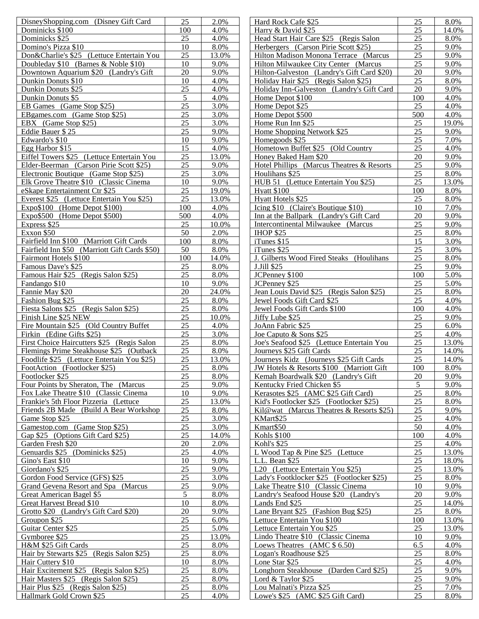| DisneyShopping.com (Disney Gift Card)         | 25              | 2.0%  | Hard Rock Cafe \$25                        | 25  | 8.0%  |
|-----------------------------------------------|-----------------|-------|--------------------------------------------|-----|-------|
| Dominicks \$100                               | 100             | 4.0%  | Harry & David \$25                         | 25  | 14.0% |
| Dominicks \$25                                | 25              | 4.0%  | Head Start Hair Care \$25 (Regis Salon     | 25  | 8.0%  |
| Domino's Pizza \$10                           | 10              | 8.0%  | Herbergers (Carson Pirie Scott \$25)       | 25  | 9.0%  |
| Don&Charlie's \$25 (Lettuce Entertain You     | 25              | 13.0% | Hilton Madison Monona Terrace (Marcus      | 25  | 9.0%  |
| Doubleday \$10 (Barnes & Noble \$10)          | 10              | 9.0%  | Hilton Milwaukee City Center (Marcus       | 25  | 9.0%  |
| Downtown Aquarium \$20 (Landry's Gift         | 20              | 9.0%  | Hilton-Galveston (Landry's Gift Card \$20) | 20  | 9.0%  |
| Dunkin Donuts \$10                            | 10              | 4.0%  | Holiday Hair \$25 (Regis Salon \$25)       | 25  | 8.0%  |
|                                               |                 |       |                                            | 20  |       |
| Dunkin Donuts \$25                            | 25              | 4.0%  | Holiday Inn-Galveston (Landry's Gift Card  |     | 9.0%  |
| Dunkin Donuts \$5                             | 5               | 4.0%  | Home Depot \$100                           | 100 | 4.0%  |
| EB Games (Game Stop \$25)                     | 25              | 3.0%  | Home Depot \$25                            | 25  | 4.0%  |
| EBgames.com (Game Stop \$25)                  | 25              | 3.0%  | Home Depot \$500                           | 500 | 4.0%  |
| EBX (Game Stop \$25)                          | 25              | 3.0%  | Home Run Inn \$25                          | 25  | 19.0% |
| Eddie Bauer \$25                              | 25              | 9.0%  | Home Shopping Network \$25                 | 25  | 9.0%  |
| Edwardo's \$10                                | 10              | 9.0%  | Homegoods \$25                             | 25  | 7.0%  |
| Egg Harbor \$15                               | 15              | 4.0%  | Hometown Buffet \$25 (Old Country          | 25  | 4.0%  |
| Eiffel Towers \$25 (Lettuce Entertain You     | 25              | 13.0% | Honey Baked Ham \$20                       | 20  | 9.0%  |
| Elder-Beerman (Carson Pirie Scott \$25)       | 25              | 9.0%  | Hotel Phillips (Marcus Theatres & Resorts  | 25  | 9.0%  |
| Electronic Boutique (Game Stop \$25)          | 25              | 3.0%  | Houlihans \$25                             | 25  | 8.0%  |
| Elk Grove Theatre \$10 (Classic Cinema        | 10              | 9.0%  | HUB 51 (Lettuce Entertain You \$25)        | 25  | 13.0% |
|                                               |                 |       |                                            |     |       |
| eSkape Entertainment Ctr \$25                 | 25              | 19.0% | Hyatt \$100                                | 100 | 8.0%  |
| Everest \$25 (Lettuce Entertain You \$25)     | 25              | 13.0% | Hyatt Hotels \$25                          | 25  | 8.0%  |
| $Expo$100$ (Home Depot \$100)                 | 100             | 4.0%  | Icing \$10 (Claire's Boutique \$10)        | 10  | 7.0%  |
| Expo\$500 (Home Depot \$500)                  | 500             | 4.0%  | Inn at the Ballpark (Landry's Gift Card    | 20  | 9.0%  |
| Express \$25                                  | 25              | 10.0% | Intercontinental Milwaukee (Marcus         | 25  | 9.0%  |
| Exxon \$50                                    | 50              | 2.0%  | <b>IHOP \$25</b>                           | 25  | 8.0%  |
| Fairfield Inn \$100 (Marriott Gift Cards      | 100             | 8.0%  | iTunes \$15                                | 15  | 3.0%  |
| Fairfield Inn \$50 (Marriott Gift Cards \$50) | 50              | 8.0%  | iTunes \$25                                | 25  | 3.0%  |
| Fairmont Hotels \$100                         | 100             | 14.0% | J. Gilberts Wood Fired Steaks (Houlihans   | 25  | 8.0%  |
| Famous Dave's \$25                            | 25              | 8.0%  | <b>J.Jill \$25</b>                         | 25  | 9.0%  |
| Famous Hair \$25 (Regis Salon \$25)           | 25              | 8.0%  | JCPenney \$100                             | 100 | 5.0%  |
| Fandango \$10                                 | 10              | 9.0%  | JCPenney \$25                              | 25  | 5.0%  |
| Fannie May \$20                               | 20              | 24.0% | Jean Louis David \$25 (Regis Salon \$25)   | 25  | 8.0%  |
| Fashion Bug \$25                              | 25              | 8.0%  | Jewel Foods Gift Card \$25                 | 25  | 4.0%  |
|                                               | 25              |       |                                            | 100 |       |
| Fiesta Salons \$25 (Regis Salon \$25)         |                 | 8.0%  | Jewel Foods Gift Cards \$100               |     | 4.0%  |
| Finish Line \$25 NEW                          | 25              | 10.0% | Jiffy Lube \$25                            | 25  | 9.0%  |
| Fire Mountain \$25 (Old Country Buffet)       | 25              | 4.0%  | JoAnn Fabric \$25                          | 25  | 6.0%  |
| Firkin (Edine Gifts \$25)                     | 25              | 3.0%  | Joe Caputo & Sons \$25                     | 25  | 4.0%  |
| First Choice Haircutters \$25 (Regis Salon    | 25              | 8.0%  | Joe's Seafood \$25 (Lettuce Entertain You  | 25  | 13.0% |
| Flemings Prime Steakhouse \$25 (Outback       | 25              | 8.0%  | Journeys \$25 Gift Cards                   | 25  | 14.0% |
| Foodlife \$25 (Lettuce Entertain You \$25)    | 25              | 13.0% | Journeys Kidz (Journeys \$25 Gift Cards    | 25  | 14.0% |
| FootAction (Footlocker \$25)                  | 25              | 8.0%  | JW Hotels & Resorts \$100 (Marriott Gift   | 100 | 8.0%  |
| Footlocker \$25                               | 25              | 8.0%  | Kemah Boardwalk \$20 (Landry's Gift        | 20  | 9.0%  |
| Four Points by Sheraton, The (Marcus          | 25              | 9.0%  | Kentucky Fried Chicken \$5                 | 5   | 9.0%  |
| Fox Lake Theatre \$10 (Classic Cinema         | 10              | 9.0%  | Kerasotes \$25 (AMC \$25 Gift Card)        | 25  | 8.0%  |
| Frankie's 5th Floor Pizzeria (Lettuce         | 25              | 13.0% | Kid's Footlocker \$25 (Footlocker \$25)    | 25  | 8.0%  |
| Friends 2B Made (Build A Bear Workshop)       | 25              | 8.0%  | Kil@wat (Marcus Theatres & Resorts \$25)   | 25  | 9.0%  |
| Game Stop \$25                                | 25              | 3.0%  | KMart\$25                                  | 25  | 4.0%  |
| Gamestop.com (Game Stop \$25)                 | 25              | 3.0%  | Kmart\$50                                  | 50  | 4.0%  |
| Gap \$25 (Options Gift Card \$25)             | 25              | 14.0% | <b>Kohls \$100</b>                         | 100 | 4.0%  |
| Garden Fresh \$20                             | 20              | 2.0%  | Kohl's \$25                                | 25  | 4.0%  |
|                                               |                 |       |                                            | 25  |       |
| Genuardis \$25 (Dominicks \$25)               | 25              | 4.0%  | L Wood Tap & Pine \$25 (Lettuce            |     | 13.0% |
| Gino's East \$10                              | 10              | 9.0%  | L.L. Bean \$25                             | 25  | 18.0% |
| Giordano's \$25                               | 25              | 9.0%  | L20 (Lettuce Entertain You \$25)           | 25  | 13.0% |
| Gordon Food Service (GFS) \$25                | 25              | 3.0%  | Lady's Footklocker \$25 (Footlocker \$25)  | 25  | 8.0%  |
| Grand Gevena Resort and Spa (Marcus           | 25              | 9.0%  | Lake Theatre \$10 (Classic Cinema          | 10  | 9.0%  |
| Great American Bagel \$5                      | $5\overline{)}$ | 8.0%  | Landry's Seafood House \$20 (Landry's      | 20  | 9.0%  |
| Great Harvest Bread \$10                      | 10              | 8.0%  | Lands End \$25                             | 25  | 14.0% |
| Grotto \$20 (Landry's Gift Card \$20)         | 20              | 9.0%  | Lane Bryant \$25 (Fashion Bug \$25)        | 25  | 8.0%  |
| Groupon \$25                                  | 25              | 6.0%  | Lettuce Entertain You \$100                | 100 | 13.0% |
| Guitar Center \$25                            | 25              | 5.0%  | Lettuce Entertain You \$25                 | 25  | 13.0% |
| Gymboree \$25                                 | 25              | 13.0% | Lindo Theatre \$10 (Classic Cinema         | 10  | 9.0%  |
| H&M \$25 Gift Cards                           | 25              | 8.0%  | Loews Theatres (AMC \$ 6.50)               | 6.5 | 4.0%  |
| Hair by Stewarts \$25 (Regis Salon \$25)      | 25              | 8.0%  | Logan's Roadhouse \$25                     | 25  | 8.0%  |
| Hair Cuttery \$10                             | 10              | 8.0%  | Lone Star \$25                             | 25  | 4.0%  |
| Hair Excitement \$25 (Regis Salon \$25)       | 25              | 8.0%  | Longhorn Steakhouse (Darden Card \$25)     | 25  | 9.0%  |
| Hair Masters \$25 (Regis Salon \$25)          | 25              | 8.0%  |                                            | 25  | 9.0%  |
|                                               |                 |       | Lord $&$ Taylor \$25                       |     |       |
| Hair Plus \$25 (Regis Salon \$25)             | 25              | 8.0%  | Lou Malnati's Pizza \$25                   | 25  | 7.0%  |
| Hallmark Gold Crown \$25                      | 25              | 4.0%  | Lowe's \$25 (AMC \$25 Gift Card)           | 25  | 8.0%  |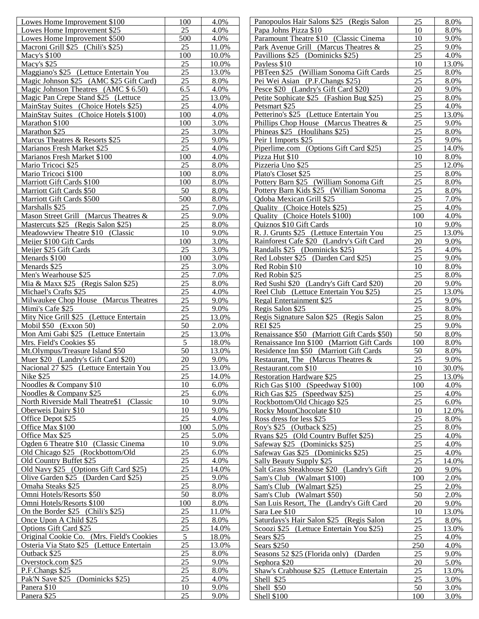| Lowes Home Improvement \$100                    | 100             | 4.0%  | Panopoulos Hair Salons \$25 (Regis Salon    | 25  | 8.0%  |
|-------------------------------------------------|-----------------|-------|---------------------------------------------|-----|-------|
| Lowes Home Improvement \$25                     | 25              | 4.0%  | Papa Johns Pizza \$10                       | 10  | 8.0%  |
| Lowes Home Improvement \$500                    | 500             | 4.0%  | Paramount Theatre \$10 (Classic Cinema      | 10  | 9.0%  |
| Macroni Grill \$25 (Chili's \$25)               | 25              | 11.0% | Park Avenue Grill (Marcus Theatres &        | 25  | 9.0%  |
| Macy's \$100                                    | 100             | 10.0% | Pavillions \$25 (Dominicks \$25)            | 25  | 4.0%  |
| Macy's \$25                                     | 25              | 10.0% | Payless \$10                                | 10  | 13.0% |
| Maggiano's \$25 (Lettuce Entertain You          | 25              | 13.0% | PBTeen \$25 (William Sonoma Gift Cards      | 25  | 8.0%  |
| Magic Johnson \$25 (AMC \$25 Gift Card)         | 25              | 8.0%  | Pei Wei Asian (P.F.Changs \$25)             | 25  | 8.0%  |
| Magic Johnson Theatres (AMC \$ 6.50)            | 6.5             | 4.0%  | Pesce \$20 (Landry's Gift Card \$20)        | 20  | 9.0%  |
| Magic Pan Crepe Stand \$25 (Lettuce             | 25              | 13.0% | Petite Sophicate \$25 (Fashion Bug \$25)    | 25  | 8.0%  |
| MainStay Suites (Choice Hotels \$25)            | 25              | 4.0%  | Petsmart \$25                               | 25  | 4.0%  |
| MainStay Suites (Choice Hotels \$100)           | 100             | 4.0%  | Petterino's \$25 (Lettuce Entertain You     | 25  | 13.0% |
| Marathon \$100                                  | 100             | 3.0%  | Phillips Chop House (Marcus Theatres &      | 25  | 9.0%  |
|                                                 | 25              | 3.0%  | Phineas \$25 (Houlihans \$25)               | 25  | 8.0%  |
| Marathon \$25<br>Marcus Theatres & Resorts \$25 | 25              | 9.0%  |                                             | 25  | 9.0%  |
|                                                 | 25              |       | Peir 1 Imports \$25                         | 25  |       |
| Marianos Fresh Market \$25                      |                 | 4.0%  | Piperlime.com (Options Gift Card \$25)      |     | 14.0% |
| Marianos Fresh Market \$100                     | 100             | 4.0%  | Pizza Hut \$10                              | 10  | 8.0%  |
| Mario Tricoci \$25                              | 25              | 8.0%  | Pizzeria Uno \$25                           | 25  | 12.0% |
| Mario Tricoci \$100                             | 100             | 8.0%  | Plato's Closet \$25                         | 25  | 8.0%  |
| Marriott Gift Cards \$100                       | 100             | 8.0%  | Pottery Barn \$25 (William Sonoma Gift)     | 25  | 8.0%  |
| Marriott Gift Cards \$50                        | 50              | 8.0%  | Pottery Barn Kids \$25 (William Sonoma      | 25  | 8.0%  |
| Marriott Gift Cards \$500                       | 500             | 8.0%  | Qdoba Mexican Grill \$25                    | 25  | 7.0%  |
| Marshalls \$25                                  | 25              | 7.0%  | <b>Ouality</b> (Choice Hotels \$25)         | 25  | 4.0%  |
| Mason Street Grill (Marcus Theatres &           | 25              | 9.0%  | Quality (Choice Hotels \$100)               | 100 | 4.0%  |
| Mastercuts \$25 (Regis Salon \$25)              | 25              | 8.0%  | <b>Ouiznos \$10 Gift Cards</b>              | 10  | 9.0%  |
| Meadowview Theatre \$10 (Classic                | 10              | 9.0%  | R. J. Grunts \$25 (Lettuce Entertain You    | 25  | 13.0% |
| Meijer \$100 Gift Cards                         | 100             | 3.0%  | Rainforest Cafe \$20 (Landry's Gift Card    | 20  | 9.0%  |
| Meijer \$25 Gift Cards                          | 25              | 3.0%  | Randalls \$25 (Dominicks \$25)              | 25  | 4.0%  |
| Menards \$100                                   | 100             | 3.0%  | Red Lobster \$25 (Darden Card \$25)         | 25  | 9.0%  |
| Menards \$25                                    | 25              | 3.0%  | Red Robin \$10                              | 10  | 8.0%  |
| Men's Wearhouse \$25                            | 25              | 7.0%  | Red Robin \$25                              | 25  | 8.0%  |
| Mia & Maxx \$25 (Regis Salon \$25)              | 25              | 8.0%  | Red Sushi \$20 (Landry's Gift Card \$20)    | 20  | 9.0%  |
| Michael's Crafts \$25                           | 25              | 4.0%  | Reel Club (Lettuce Entertain You \$25)      | 25  | 13.0% |
| Milwaukee Chop House (Marcus Theatres           | 25              | 9.0%  | Regal Entertainment \$25                    | 25  | 9.0%  |
| Mimi's Cafe \$25                                | 25              | 9.0%  | Regis Salon \$25                            | 25  | 8.0%  |
| Mity Nice Grill \$25 (Lettuce Entertain         | 25              | 13.0% | Regis Signature Salon \$25 (Regis Salon     | 25  | 8.0%  |
| Mobil \$50 (Exxon 50)                           | 50              | 2.0%  | <b>REI \$25</b>                             | 25  | 9.0%  |
| Mon Ami Gabi \$25 (Lettuce Entertain            | 25              | 13.0% | Renaissance \$50 (Marriott Gift Cards \$50) | 50  | 8.0%  |
| Mrs. Field's Cookies \$5                        | 5               | 18.0% | Renaissance Inn \$100 (Marriott Gift Cards  | 100 | 8.0%  |
| Mt.Olympus/Treasure Island \$50                 | 50              | 13.0% | Residence Inn \$50 (Marriott Gift Cards     | 50  | 8.0%  |
| Muer \$20 (Landry's Gift Card \$20)             | 20              | 9.0%  | Restaurant, The (Marcus Theatres $\&$       | 25  | 9.0%  |
| Nacional 27 \$25 (Lettuce Entertain You         | 25              | 13.0% |                                             |     | 30.0% |
| Nike \$25                                       |                 |       | Restaurant.com \$10                         | 10  |       |
|                                                 | 25              | 14.0% | <b>Restoration Hardware \$25</b>            | 25  | 13.0% |
| Noodles & Company \$10                          | 10              | 6.0%  | Rich Gas $$100$ (Speedway $$100$ )          | 100 | 4.0%  |
| Noodles & Company \$25                          | 25              | 6.0%  | Rich Gas \$25 (Speedway \$25)               | 25  | 4.0%  |
| North Riverside Mall Theatre\$1 (Classic        | 10              | 9.0%  | Rockbottom/Old Chicago \$25                 | 25  | 6.0%  |
| Oberweis Dairy \$10                             | 10              | 9.0%  | Rocky MounChocolate \$10                    | 10  | 12.0% |
| Office Depot \$25                               | 25              | 4.0%  | Ross dress for less \$25                    | 25  | 8.0%  |
| Office Max \$100                                | 100             | 5.0%  | Roy's \$25 (Outback \$25)                   | 25  | 8.0%  |
| Office Max \$25                                 | 25              | 5.0%  | Ryans \$25 (Old Country Buffet \$25)        | 25  | 4.0%  |
| Ogden 6 Theatre \$10 (Classic Cinema            | 10              | 9.0%  | Safeway \$25 (Dominicks \$25)               | 25  | 4.0%  |
| Old Chicago \$25 (Rockbottom/Old                | 25              | 6.0%  | Safeway Gas \$25 (Dominicks \$25)           | 25  | 4.0%  |
| Old Country Buffet \$25                         | 25              | 4.0%  | Sally Beauty Supply \$25                    | 25  | 14.0% |
| Old Navy \$25 (Options Gift Card \$25)          | 25              | 14.0% | Salt Grass Steakhouse \$20 (Landry's Gift   | 20  | 9.0%  |
| Olive Garden \$25 (Darden Card \$25)            | 25              | 9.0%  | Sam's Club (Walmart \$100)                  | 100 | 2.0%  |
| Omaha Steaks \$25                               | 25              | 8.0%  | Sam's Club (Walmart \$25)                   | 25  | 2.0%  |
| Omni Hotels/Resorts \$50                        | 50              | 8.0%  | Sam's Club (Walmart \$50)                   | 50  | 2.0%  |
| Omni Hotels/Resorts \$100                       | 100             | 8.0%  | San Luis Resort, The (Landry's Gift Card    | 20  | 9.0%  |
| On the Border \$25 (Chili's \$25)               | 25              | 11.0% | Sara Lee \$10                               | 10  | 13.0% |
| Once Upon A Child \$25                          | 25              | 8.0%  | Saturdays's Hair Salon \$25 (Regis Salon    | 25  | 8.0%  |
| Options Gift Card \$25                          | 25              | 14.0% | Scoozi \$25 (Lettuce Entertain You \$25)    | 25  | 13.0% |
| Original Cookie Co. (Mrs. Field's Cookies       | $5\overline{)}$ | 18.0% | Sears $$25$                                 | 25  | 4.0%  |
| Osteria Via Stato \$25 (Lettuce Entertain       | 25              | 13.0% | Sears \$250                                 | 250 | 4.0%  |
| Outback \$25                                    | 25              | 8.0%  | Seasons 52 \$25 (Florida only) (Darden      | 25  | 9.0%  |
| Overstock.com \$25                              | 25              | 9.0%  | Sephora \$20                                | 20  | 5.0%  |
| P.F.Changs \$25                                 | 25              | 8.0%  | Shaw's Crabhouse \$25 (Lettuce Entertain    | 25  | 13.0% |
| Pak'N Save \$25 (Dominicks \$25)                | 25              | 4.0%  | Shell \$25                                  | 25  | 3.0%  |
| Panera \$10                                     | 10              | 9.0%  | Shell \$50                                  | 50  | 3.0%  |
| Panera \$25                                     | 25              | 9.0%  | <b>Shell \$100</b>                          | 100 | 3.0%  |
|                                                 |                 |       |                                             |     |       |